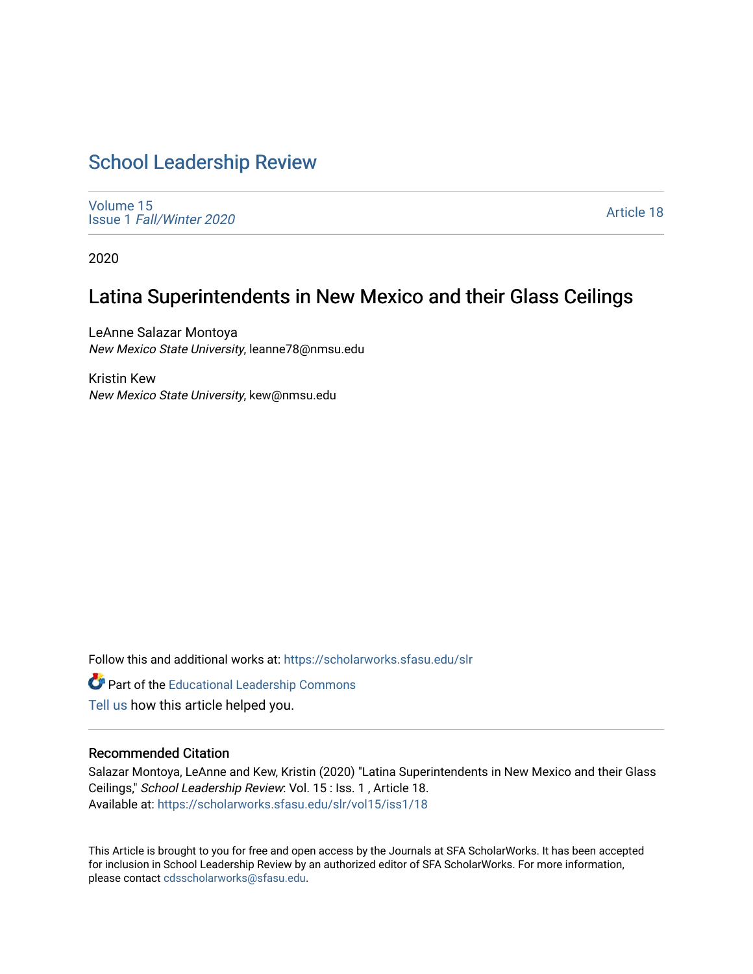# [School Leadership Review](https://scholarworks.sfasu.edu/slr)

[Volume 15](https://scholarworks.sfasu.edu/slr/vol15) Issue 1 [Fall/Winter 2020](https://scholarworks.sfasu.edu/slr/vol15/iss1) 

[Article 18](https://scholarworks.sfasu.edu/slr/vol15/iss1/18) 

2020

# Latina Superintendents in New Mexico and their Glass Ceilings

LeAnne Salazar Montoya New Mexico State University, leanne78@nmsu.edu

Kristin Kew New Mexico State University, kew@nmsu.edu

Follow this and additional works at: [https://scholarworks.sfasu.edu/slr](https://scholarworks.sfasu.edu/slr?utm_source=scholarworks.sfasu.edu%2Fslr%2Fvol15%2Fiss1%2F18&utm_medium=PDF&utm_campaign=PDFCoverPages) 

Part of the [Educational Leadership Commons](http://network.bepress.com/hgg/discipline/1230?utm_source=scholarworks.sfasu.edu%2Fslr%2Fvol15%2Fiss1%2F18&utm_medium=PDF&utm_campaign=PDFCoverPages) 

[Tell us](http://sfasu.qualtrics.com/SE/?SID=SV_0qS6tdXftDLradv) how this article helped you.

## Recommended Citation

Salazar Montoya, LeAnne and Kew, Kristin (2020) "Latina Superintendents in New Mexico and their Glass Ceilings," School Leadership Review: Vol. 15 : Iss. 1 , Article 18. Available at: [https://scholarworks.sfasu.edu/slr/vol15/iss1/18](https://scholarworks.sfasu.edu/slr/vol15/iss1/18?utm_source=scholarworks.sfasu.edu%2Fslr%2Fvol15%2Fiss1%2F18&utm_medium=PDF&utm_campaign=PDFCoverPages) 

This Article is brought to you for free and open access by the Journals at SFA ScholarWorks. It has been accepted for inclusion in School Leadership Review by an authorized editor of SFA ScholarWorks. For more information, please contact [cdsscholarworks@sfasu.edu.](mailto:cdsscholarworks@sfasu.edu)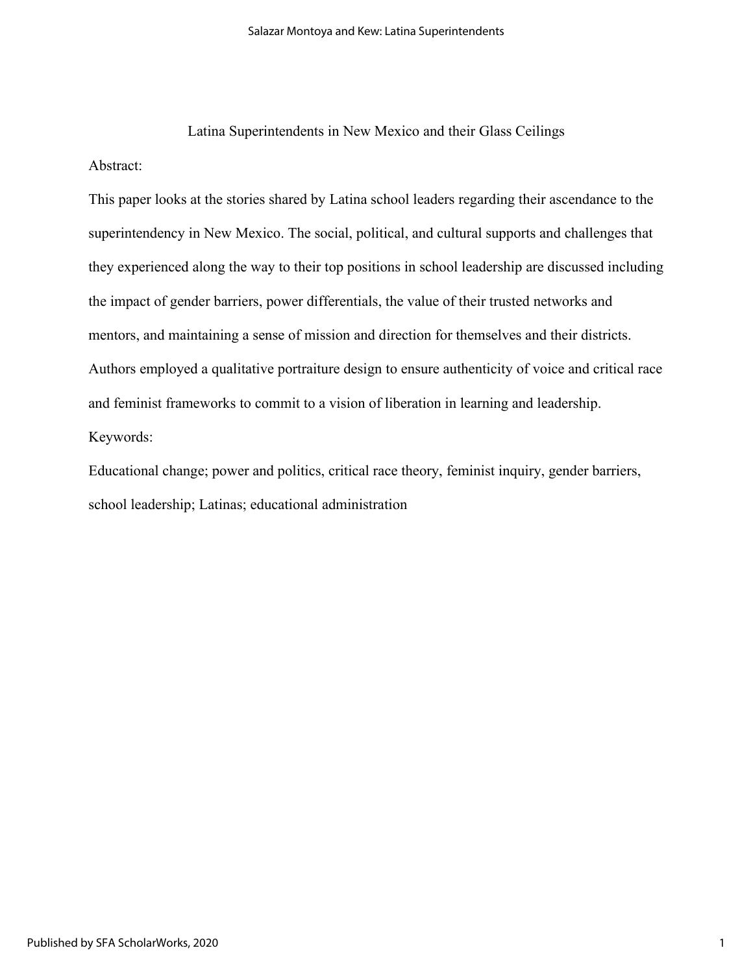Latina Superintendents in New Mexico and their Glass Ceilings Abstract:

This paper looks at the stories shared by Latina school leaders regarding their ascendance to the superintendency in New Mexico. The social, political, and cultural supports and challenges that they experienced along the way to their top positions in school leadership are discussed including the impact of gender barriers, power differentials, the value of their trusted networks and mentors, and maintaining a sense of mission and direction for themselves and their districts. Authors employed a qualitative portraiture design to ensure authenticity of voice and critical race and feminist frameworks to commit to a vision of liberation in learning and leadership. Keywords:

Educational change; power and politics, critical race theory, feminist inquiry, gender barriers, school leadership; Latinas; educational administration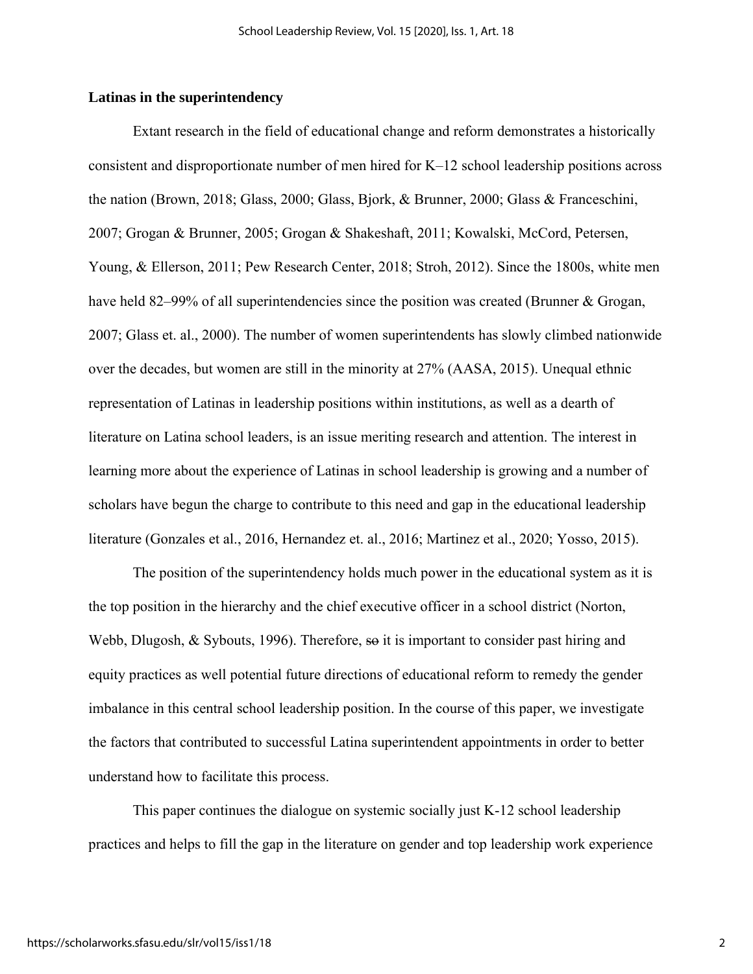## **Latinas in the superintendency**

Extant research in the field of educational change and reform demonstrates a historically consistent and disproportionate number of men hired for K–12 school leadership positions across the nation (Brown, 2018; Glass, 2000; Glass, Bjork, & Brunner, 2000; Glass & Franceschini, 2007; Grogan & Brunner, 2005; Grogan & Shakeshaft, 2011; Kowalski, McCord, Petersen, Young, & Ellerson, 2011; Pew Research Center, 2018; Stroh, 2012). Since the 1800s, white men have held 82–99% of all superintendencies since the position was created (Brunner & Grogan, 2007; Glass et. al., 2000). The number of women superintendents has slowly climbed nationwide over the decades, but women are still in the minority at 27% (AASA, 2015). Unequal ethnic representation of Latinas in leadership positions within institutions, as well as a dearth of literature on Latina school leaders, is an issue meriting research and attention. The interest in learning more about the experience of Latinas in school leadership is growing and a number of scholars have begun the charge to contribute to this need and gap in the educational leadership literature (Gonzales et al., 2016, Hernandez et. al., 2016; Martinez et al., 2020; Yosso, 2015).

The position of the superintendency holds much power in the educational system as it is the top position in the hierarchy and the chief executive officer in a school district (Norton, Webb, Dlugosh, & Sybouts, 1996). Therefore, so it is important to consider past hiring and equity practices as well potential future directions of educational reform to remedy the gender imbalance in this central school leadership position. In the course of this paper, we investigate the factors that contributed to successful Latina superintendent appointments in order to better understand how to facilitate this process.

This paper continues the dialogue on systemic socially just K-12 school leadership practices and helps to fill the gap in the literature on gender and top leadership work experience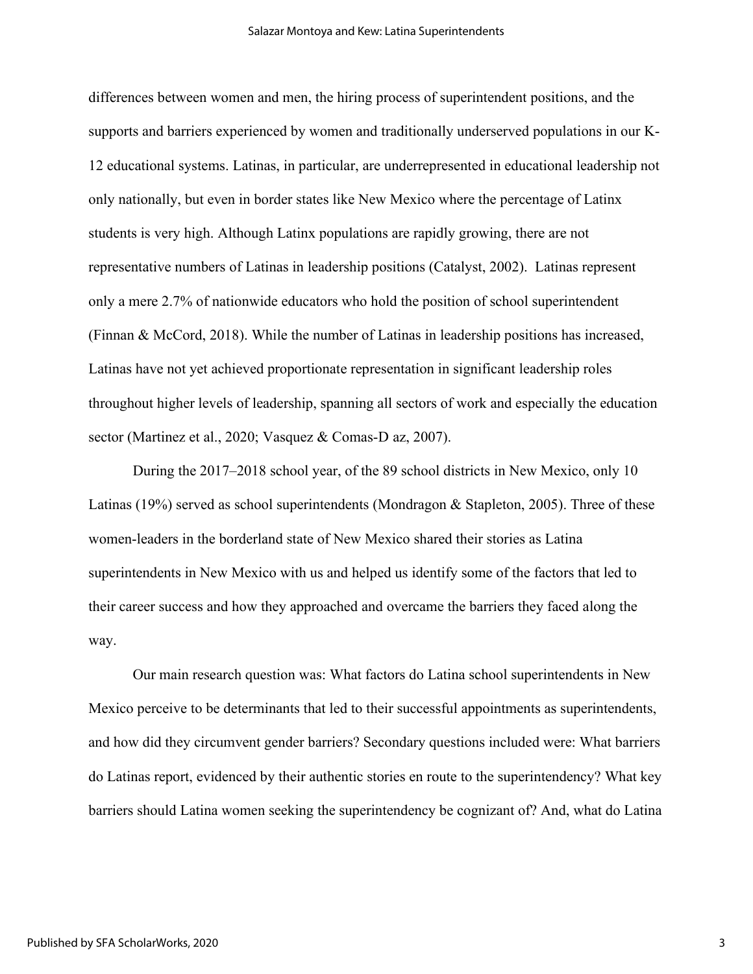differences between women and men, the hiring process of superintendent positions, and the supports and barriers experienced by women and traditionally underserved populations in our K-12 educational systems. Latinas, in particular, are underrepresented in educational leadership not only nationally, but even in border states like New Mexico where the percentage of Latinx students is very high. Although Latinx populations are rapidly growing, there are not representative numbers of Latinas in leadership positions (Catalyst, 2002). Latinas represent only a mere 2.7% of nationwide educators who hold the position of school superintendent (Finnan & McCord, 2018). While the number of Latinas in leadership positions has increased, Latinas have not yet achieved proportionate representation in significant leadership roles throughout higher levels of leadership, spanning all sectors of work and especially the education sector (Martinez et al., 2020; Vasquez & Comas-D az, 2007).

During the 2017–2018 school year, of the 89 school districts in New Mexico, only 10 Latinas (19%) served as school superintendents (Mondragon & Stapleton, 2005). Three of these women-leaders in the borderland state of New Mexico shared their stories as Latina superintendents in New Mexico with us and helped us identify some of the factors that led to their career success and how they approached and overcame the barriers they faced along the way.

Our main research question was: What factors do Latina school superintendents in New Mexico perceive to be determinants that led to their successful appointments as superintendents, and how did they circumvent gender barriers? Secondary questions included were: What barriers do Latinas report, evidenced by their authentic stories en route to the superintendency? What key barriers should Latina women seeking the superintendency be cognizant of? And, what do Latina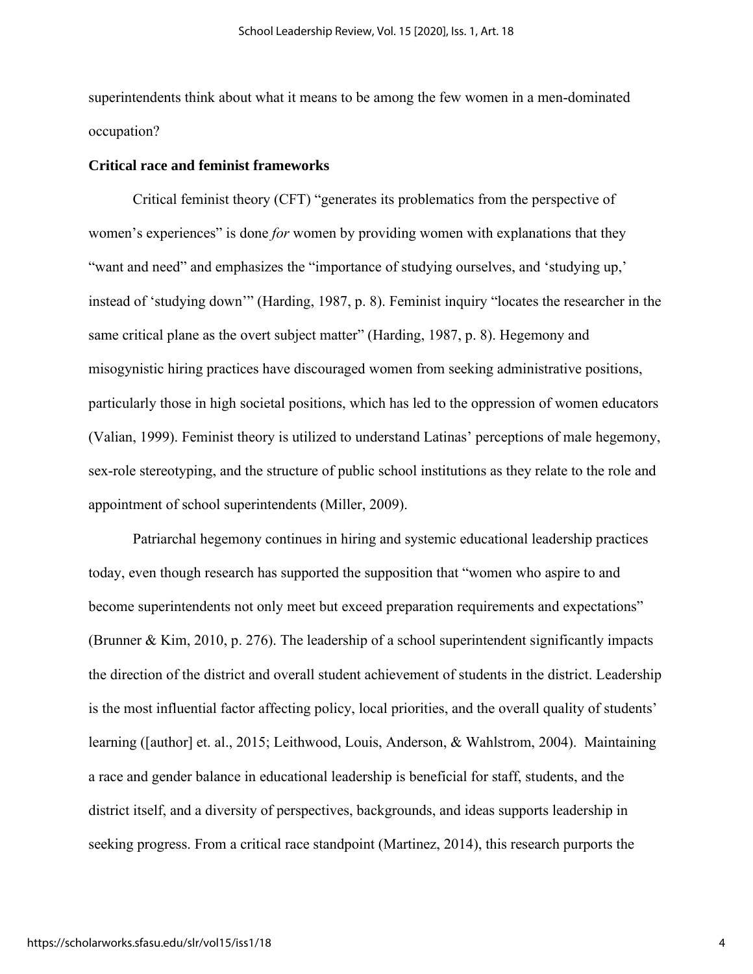superintendents think about what it means to be among the few women in a men-dominated occupation?

#### **Critical race and feminist frameworks**

Critical feminist theory (CFT) "generates its problematics from the perspective of women's experiences" is done *for* women by providing women with explanations that they "want and need" and emphasizes the "importance of studying ourselves, and 'studying up,' instead of 'studying down'" (Harding, 1987, p. 8). Feminist inquiry "locates the researcher in the same critical plane as the overt subject matter" (Harding, 1987, p. 8). Hegemony and misogynistic hiring practices have discouraged women from seeking administrative positions, particularly those in high societal positions, which has led to the oppression of women educators (Valian, 1999). Feminist theory is utilized to understand Latinas' perceptions of male hegemony, sex-role stereotyping, and the structure of public school institutions as they relate to the role and appointment of school superintendents (Miller, 2009).

Patriarchal hegemony continues in hiring and systemic educational leadership practices today, even though research has supported the supposition that "women who aspire to and become superintendents not only meet but exceed preparation requirements and expectations" (Brunner & Kim, 2010, p. 276). The leadership of a school superintendent significantly impacts the direction of the district and overall student achievement of students in the district. Leadership is the most influential factor affecting policy, local priorities, and the overall quality of students' learning ([author] et. al., 2015; Leithwood, Louis, Anderson, & Wahlstrom, 2004). Maintaining a race and gender balance in educational leadership is beneficial for staff, students, and the district itself, and a diversity of perspectives, backgrounds, and ideas supports leadership in seeking progress. From a critical race standpoint (Martinez, 2014), this research purports the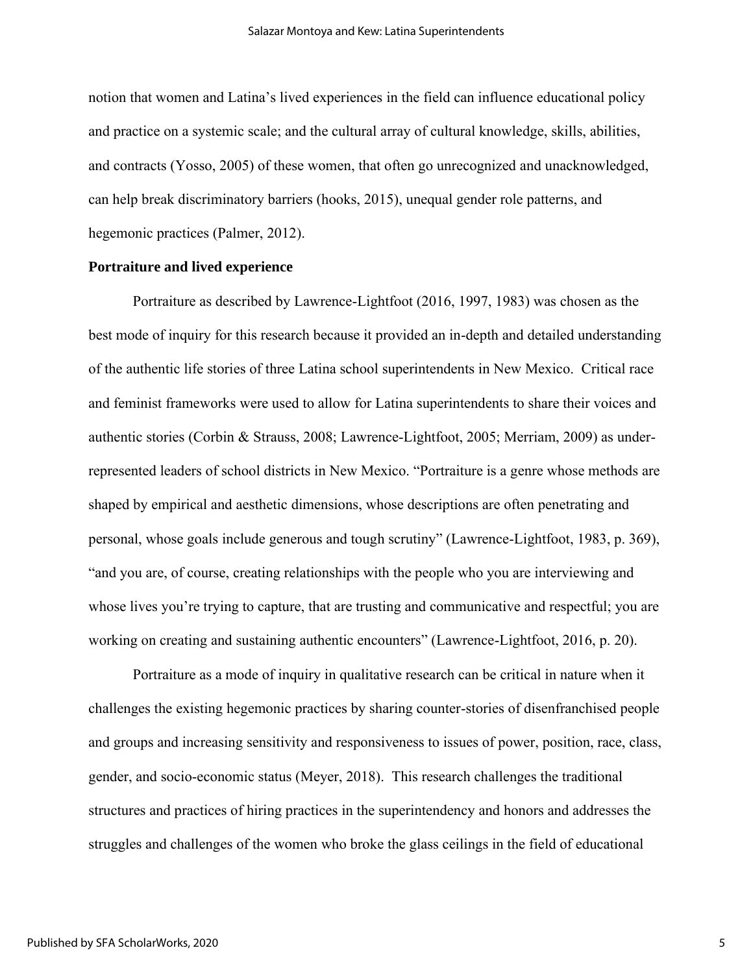notion that women and Latina's lived experiences in the field can influence educational policy and practice on a systemic scale; and the cultural array of cultural knowledge, skills, abilities, and contracts (Yosso, 2005) of these women, that often go unrecognized and unacknowledged, can help break discriminatory barriers (hooks, 2015), unequal gender role patterns, and hegemonic practices (Palmer, 2012).

## **Portraiture and lived experience**

Portraiture as described by Lawrence-Lightfoot (2016, 1997, 1983) was chosen as the best mode of inquiry for this research because it provided an in-depth and detailed understanding of the authentic life stories of three Latina school superintendents in New Mexico. Critical race and feminist frameworks were used to allow for Latina superintendents to share their voices and authentic stories (Corbin & Strauss, 2008; Lawrence-Lightfoot, 2005; Merriam, 2009) as underrepresented leaders of school districts in New Mexico. "Portraiture is a genre whose methods are shaped by empirical and aesthetic dimensions, whose descriptions are often penetrating and personal, whose goals include generous and tough scrutiny" (Lawrence-Lightfoot, 1983, p. 369), "and you are, of course, creating relationships with the people who you are interviewing and whose lives you're trying to capture, that are trusting and communicative and respectful; you are working on creating and sustaining authentic encounters" (Lawrence-Lightfoot, 2016, p. 20).

Portraiture as a mode of inquiry in qualitative research can be critical in nature when it challenges the existing hegemonic practices by sharing counter-stories of disenfranchised people and groups and increasing sensitivity and responsiveness to issues of power, position, race, class, gender, and socio-economic status (Meyer, 2018). This research challenges the traditional structures and practices of hiring practices in the superintendency and honors and addresses the struggles and challenges of the women who broke the glass ceilings in the field of educational

5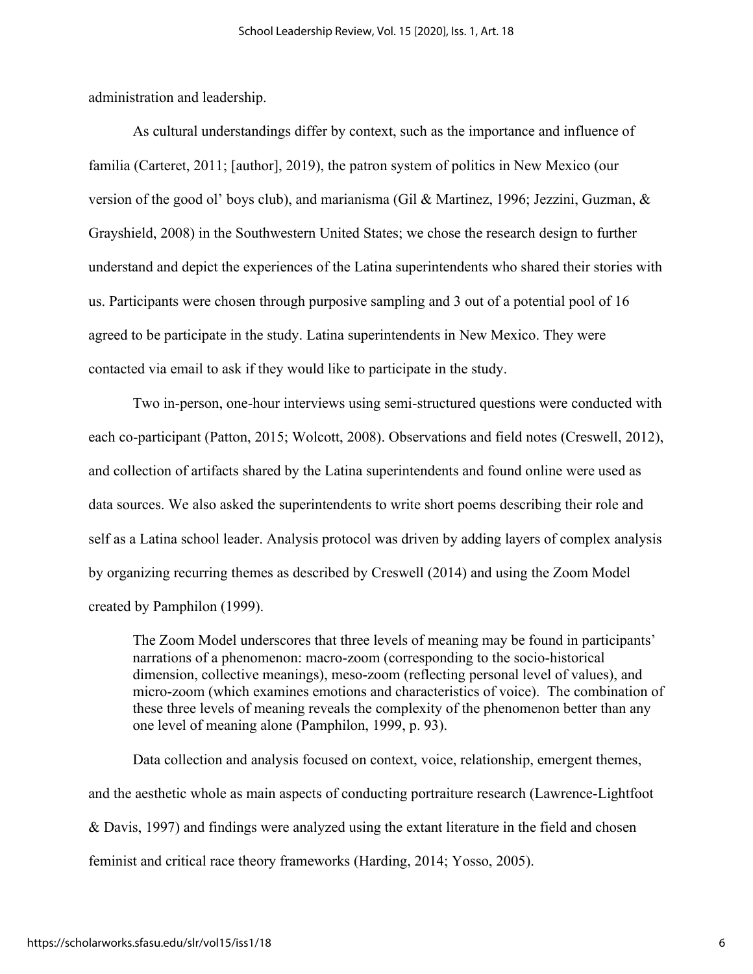administration and leadership.

As cultural understandings differ by context, such as the importance and influence of familia (Carteret, 2011; [author], 2019), the patron system of politics in New Mexico (our version of the good ol' boys club), and marianisma (Gil & Martinez, 1996; Jezzini, Guzman, & Grayshield, 2008) in the Southwestern United States; we chose the research design to further understand and depict the experiences of the Latina superintendents who shared their stories with us. Participants were chosen through purposive sampling and 3 out of a potential pool of 16 agreed to be participate in the study. Latina superintendents in New Mexico. They were contacted via email to ask if they would like to participate in the study.

Two in-person, one-hour interviews using semi-structured questions were conducted with each co-participant (Patton, 2015; Wolcott, 2008). Observations and field notes (Creswell, 2012), and collection of artifacts shared by the Latina superintendents and found online were used as data sources. We also asked the superintendents to write short poems describing their role and self as a Latina school leader. Analysis protocol was driven by adding layers of complex analysis by organizing recurring themes as described by Creswell (2014) and using the Zoom Model created by Pamphilon (1999).

The Zoom Model underscores that three levels of meaning may be found in participants' narrations of a phenomenon: macro-zoom (corresponding to the socio-historical dimension, collective meanings), meso-zoom (reflecting personal level of values), and micro-zoom (which examines emotions and characteristics of voice). The combination of these three levels of meaning reveals the complexity of the phenomenon better than any one level of meaning alone (Pamphilon, 1999, p. 93).

Data collection and analysis focused on context, voice, relationship, emergent themes, and the aesthetic whole as main aspects of conducting portraiture research (Lawrence-Lightfoot & Davis, 1997) and findings were analyzed using the extant literature in the field and chosen feminist and critical race theory frameworks (Harding, 2014; Yosso, 2005).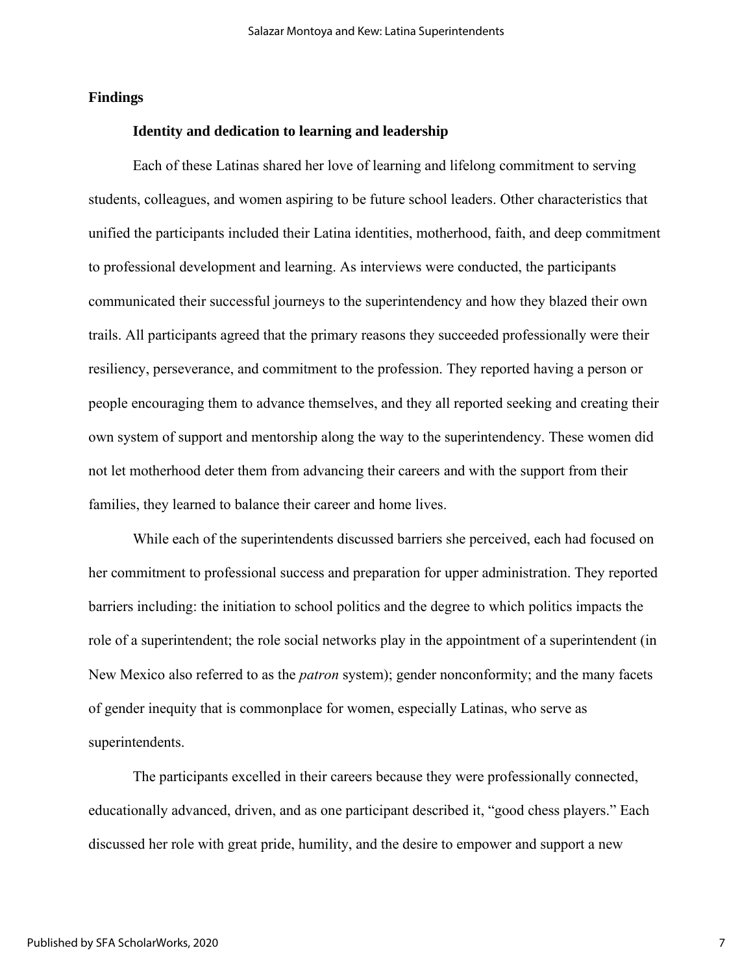## **Findings**

## **Identity and dedication to learning and leadership**

Each of these Latinas shared her love of learning and lifelong commitment to serving students, colleagues, and women aspiring to be future school leaders. Other characteristics that unified the participants included their Latina identities, motherhood, faith, and deep commitment to professional development and learning. As interviews were conducted, the participants communicated their successful journeys to the superintendency and how they blazed their own trails. All participants agreed that the primary reasons they succeeded professionally were their resiliency, perseverance, and commitment to the profession. They reported having a person or people encouraging them to advance themselves, and they all reported seeking and creating their own system of support and mentorship along the way to the superintendency. These women did not let motherhood deter them from advancing their careers and with the support from their families, they learned to balance their career and home lives.

While each of the superintendents discussed barriers she perceived, each had focused on her commitment to professional success and preparation for upper administration. They reported barriers including: the initiation to school politics and the degree to which politics impacts the role of a superintendent; the role social networks play in the appointment of a superintendent (in New Mexico also referred to as the *patron* system); gender nonconformity; and the many facets of gender inequity that is commonplace for women, especially Latinas, who serve as superintendents.

The participants excelled in their careers because they were professionally connected, educationally advanced, driven, and as one participant described it, "good chess players." Each discussed her role with great pride, humility, and the desire to empower and support a new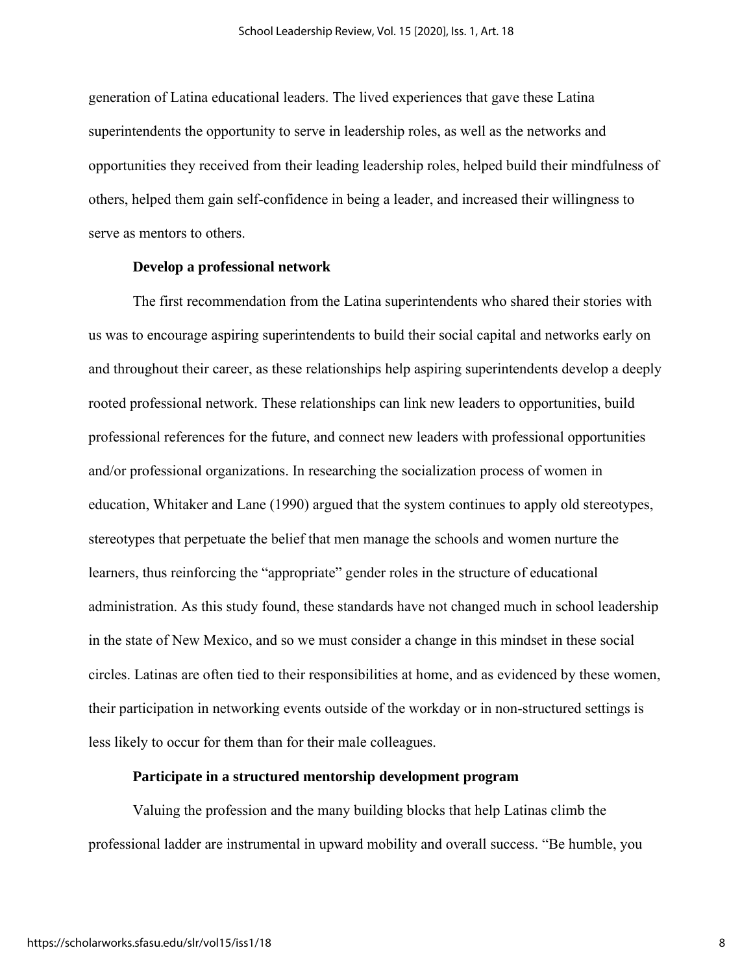generation of Latina educational leaders. The lived experiences that gave these Latina superintendents the opportunity to serve in leadership roles, as well as the networks and opportunities they received from their leading leadership roles, helped build their mindfulness of others, helped them gain self-confidence in being a leader, and increased their willingness to serve as mentors to others.

## **Develop a professional network**

The first recommendation from the Latina superintendents who shared their stories with us was to encourage aspiring superintendents to build their social capital and networks early on and throughout their career, as these relationships help aspiring superintendents develop a deeply rooted professional network. These relationships can link new leaders to opportunities, build professional references for the future, and connect new leaders with professional opportunities and/or professional organizations. In researching the socialization process of women in education, Whitaker and Lane (1990) argued that the system continues to apply old stereotypes, stereotypes that perpetuate the belief that men manage the schools and women nurture the learners, thus reinforcing the "appropriate" gender roles in the structure of educational administration. As this study found, these standards have not changed much in school leadership in the state of New Mexico, and so we must consider a change in this mindset in these social circles. Latinas are often tied to their responsibilities at home, and as evidenced by these women, their participation in networking events outside of the workday or in non-structured settings is less likely to occur for them than for their male colleagues.

#### **Participate in a structured mentorship development program**

Valuing the profession and the many building blocks that help Latinas climb the professional ladder are instrumental in upward mobility and overall success. "Be humble, you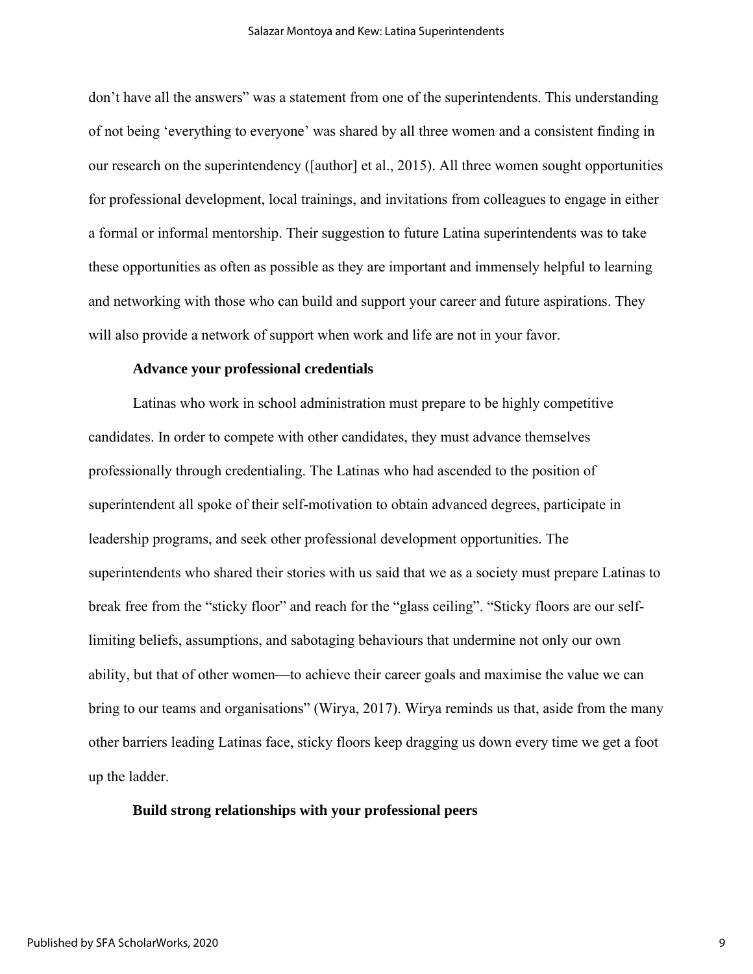don't have all the answers" was a statement from one of the superintendents. This understanding of not being 'everything to everyone' was shared by all three women and a consistent finding in our research on the superintendency ([author] et al., 2015). All three women sought opportunities for professional development, local trainings, and invitations from colleagues to engage in either a formal or informal mentorship. Their suggestion to future Latina superintendents was to take these opportunities as often as possible as they are important and immensely helpful to learning and networking with those who can build and support your career and future aspirations. They will also provide a network of support when work and life are not in your favor.

### **Advance your professional credentials**

Latinas who work in school administration must prepare to be highly competitive candidates. In order to compete with other candidates, they must advance themselves professionally through credentialing. The Latinas who had ascended to the position of superintendent all spoke of their self-motivation to obtain advanced degrees, participate in leadership programs, and seek other professional development opportunities. The superintendents who shared their stories with us said that we as a society must prepare Latinas to break free from the "sticky floor" and reach for the "glass ceiling". "Sticky floors are our selflimiting beliefs, assumptions, and sabotaging behaviours that undermine not only our own ability, but that of other women—to achieve their career goals and maximise the value we can bring to our teams and organisations" (Wirya, 2017). Wirya reminds us that, aside from the many other barriers leading Latinas face, sticky floors keep dragging us down every time we get a foot up the ladder.

## **Build strong relationships with your professional peers**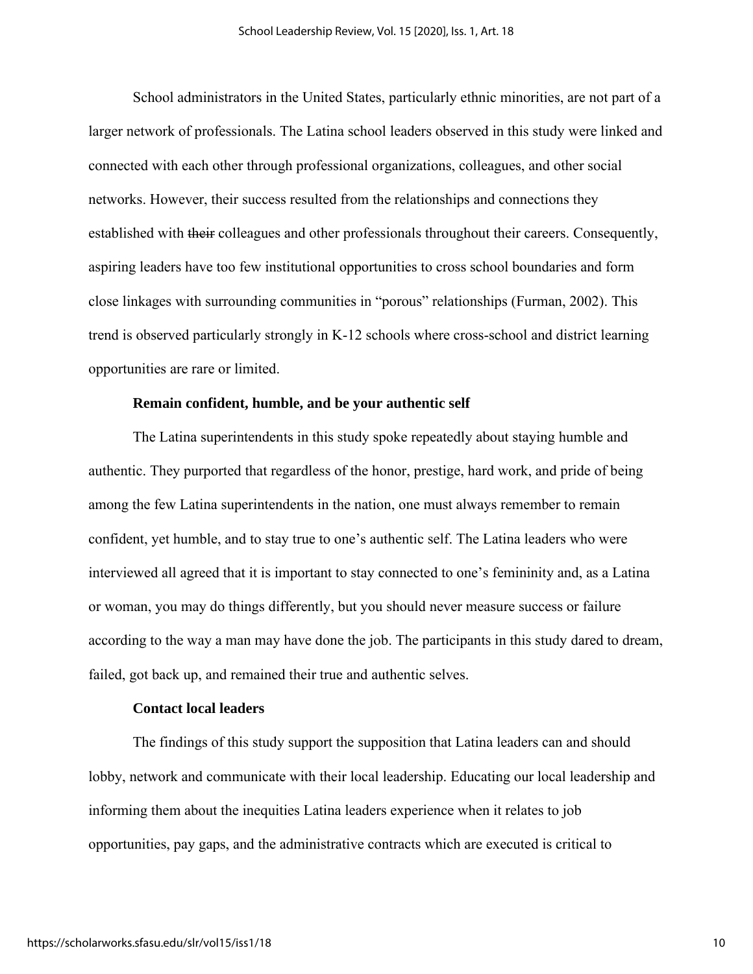School administrators in the United States, particularly ethnic minorities, are not part of a larger network of professionals. The Latina school leaders observed in this study were linked and connected with each other through professional organizations, colleagues, and other social networks. However, their success resulted from the relationships and connections they established with their colleagues and other professionals throughout their careers. Consequently, aspiring leaders have too few institutional opportunities to cross school boundaries and form close linkages with surrounding communities in "porous" relationships (Furman, 2002). This trend is observed particularly strongly in K-12 schools where cross-school and district learning opportunities are rare or limited.

# **Remain confident, humble, and be your authentic self**

The Latina superintendents in this study spoke repeatedly about staying humble and authentic. They purported that regardless of the honor, prestige, hard work, and pride of being among the few Latina superintendents in the nation, one must always remember to remain confident, yet humble, and to stay true to one's authentic self. The Latina leaders who were interviewed all agreed that it is important to stay connected to one's femininity and, as a Latina or woman, you may do things differently, but you should never measure success or failure according to the way a man may have done the job. The participants in this study dared to dream, failed, got back up, and remained their true and authentic selves.

#### **Contact local leaders**

The findings of this study support the supposition that Latina leaders can and should lobby, network and communicate with their local leadership. Educating our local leadership and informing them about the inequities Latina leaders experience when it relates to job opportunities, pay gaps, and the administrative contracts which are executed is critical to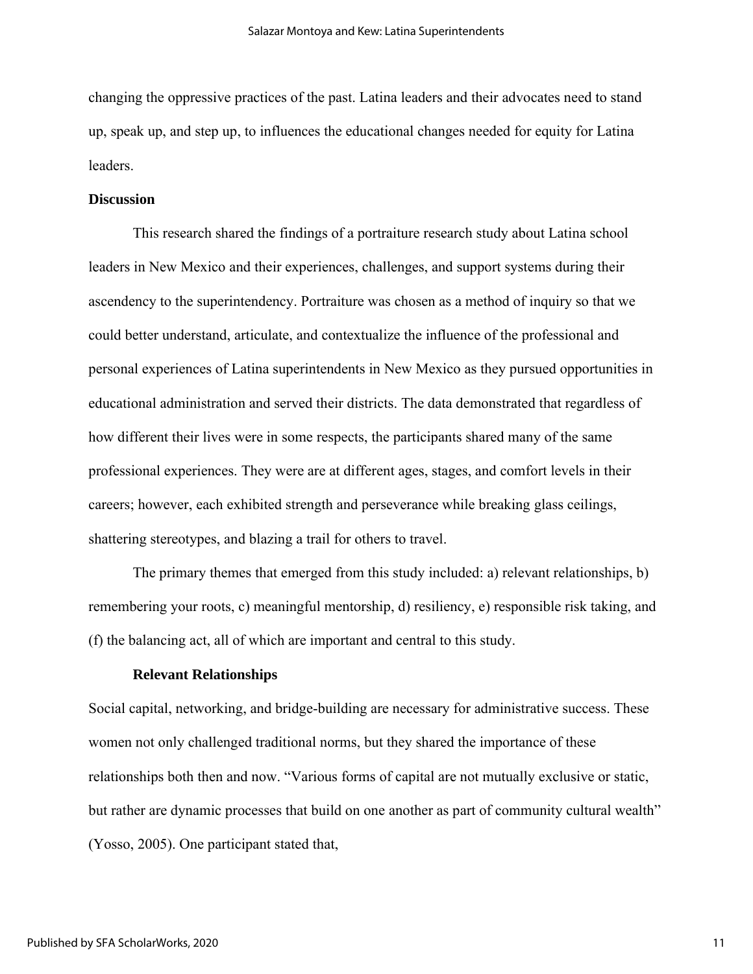changing the oppressive practices of the past. Latina leaders and their advocates need to stand up, speak up, and step up, to influences the educational changes needed for equity for Latina leaders.

#### **Discussion**

This research shared the findings of a portraiture research study about Latina school leaders in New Mexico and their experiences, challenges, and support systems during their ascendency to the superintendency. Portraiture was chosen as a method of inquiry so that we could better understand, articulate, and contextualize the influence of the professional and personal experiences of Latina superintendents in New Mexico as they pursued opportunities in educational administration and served their districts. The data demonstrated that regardless of how different their lives were in some respects, the participants shared many of the same professional experiences. They were are at different ages, stages, and comfort levels in their careers; however, each exhibited strength and perseverance while breaking glass ceilings, shattering stereotypes, and blazing a trail for others to travel.

The primary themes that emerged from this study included: a) relevant relationships, b) remembering your roots, c) meaningful mentorship, d) resiliency, e) responsible risk taking, and (f) the balancing act, all of which are important and central to this study.

#### **Relevant Relationships**

Social capital, networking, and bridge-building are necessary for administrative success. These women not only challenged traditional norms, but they shared the importance of these relationships both then and now. "Various forms of capital are not mutually exclusive or static, but rather are dynamic processes that build on one another as part of community cultural wealth" (Yosso, 2005). One participant stated that,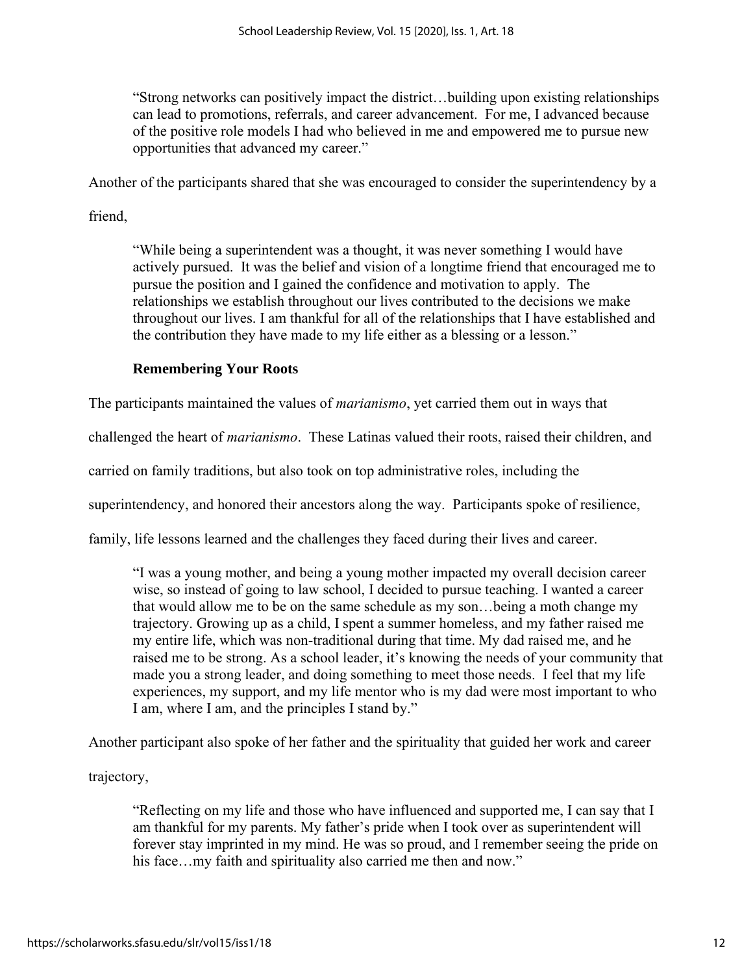"Strong networks can positively impact the district…building upon existing relationships can lead to promotions, referrals, and career advancement. For me, I advanced because of the positive role models I had who believed in me and empowered me to pursue new opportunities that advanced my career."

Another of the participants shared that she was encouraged to consider the superintendency by a

friend,

"While being a superintendent was a thought, it was never something I would have actively pursued. It was the belief and vision of a longtime friend that encouraged me to pursue the position and I gained the confidence and motivation to apply. The relationships we establish throughout our lives contributed to the decisions we make throughout our lives. I am thankful for all of the relationships that I have established and the contribution they have made to my life either as a blessing or a lesson."

# **Remembering Your Roots**

The participants maintained the values of *marianismo*, yet carried them out in ways that

challenged the heart of *marianismo*. These Latinas valued their roots, raised their children, and

carried on family traditions, but also took on top administrative roles, including the

superintendency, and honored their ancestors along the way. Participants spoke of resilience,

family, life lessons learned and the challenges they faced during their lives and career.

"I was a young mother, and being a young mother impacted my overall decision career wise, so instead of going to law school, I decided to pursue teaching. I wanted a career that would allow me to be on the same schedule as my son…being a moth change my trajectory. Growing up as a child, I spent a summer homeless, and my father raised me my entire life, which was non-traditional during that time. My dad raised me, and he raised me to be strong. As a school leader, it's knowing the needs of your community that made you a strong leader, and doing something to meet those needs. I feel that my life experiences, my support, and my life mentor who is my dad were most important to who I am, where I am, and the principles I stand by."

Another participant also spoke of her father and the spirituality that guided her work and career

trajectory,

"Reflecting on my life and those who have influenced and supported me, I can say that I am thankful for my parents. My father's pride when I took over as superintendent will forever stay imprinted in my mind. He was so proud, and I remember seeing the pride on his face...my faith and spirituality also carried me then and now."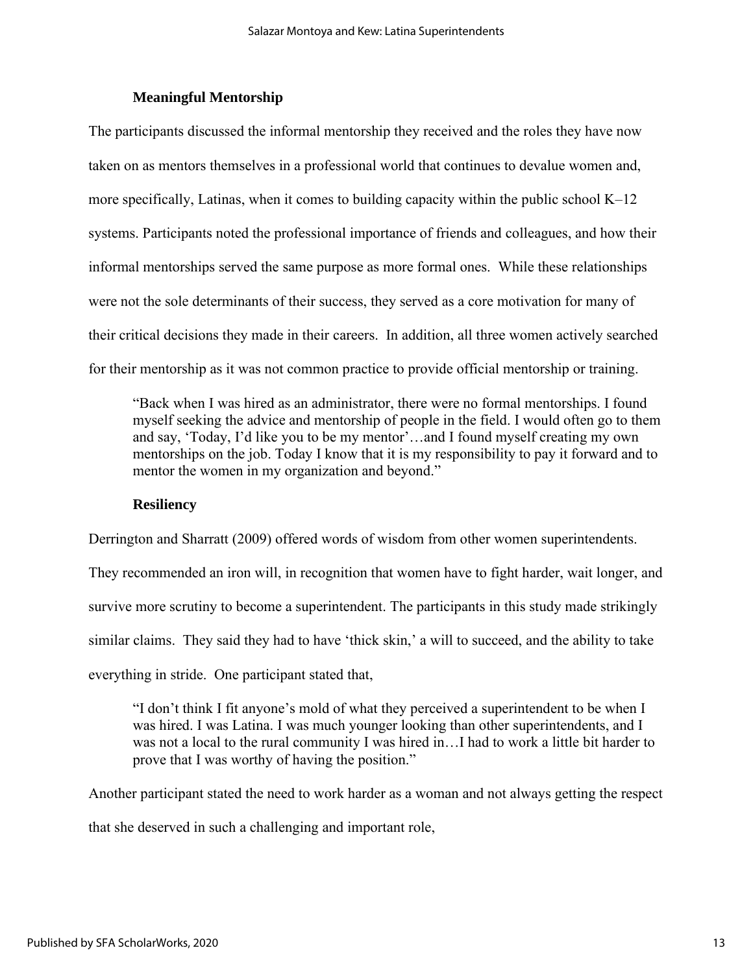# **Meaningful Mentorship**

The participants discussed the informal mentorship they received and the roles they have now taken on as mentors themselves in a professional world that continues to devalue women and, more specifically, Latinas, when it comes to building capacity within the public school K–12 systems. Participants noted the professional importance of friends and colleagues, and how their informal mentorships served the same purpose as more formal ones. While these relationships were not the sole determinants of their success, they served as a core motivation for many of their critical decisions they made in their careers. In addition, all three women actively searched for their mentorship as it was not common practice to provide official mentorship or training.

"Back when I was hired as an administrator, there were no formal mentorships. I found myself seeking the advice and mentorship of people in the field. I would often go to them and say, 'Today, I'd like you to be my mentor'…and I found myself creating my own mentorships on the job. Today I know that it is my responsibility to pay it forward and to mentor the women in my organization and beyond."

## **Resiliency**

Derrington and Sharratt (2009) offered words of wisdom from other women superintendents.

They recommended an iron will, in recognition that women have to fight harder, wait longer, and survive more scrutiny to become a superintendent. The participants in this study made strikingly similar claims. They said they had to have 'thick skin,' a will to succeed, and the ability to take everything in stride. One participant stated that,

"I don't think I fit anyone's mold of what they perceived a superintendent to be when I was hired. I was Latina. I was much younger looking than other superintendents, and I was not a local to the rural community I was hired in…I had to work a little bit harder to prove that I was worthy of having the position."

Another participant stated the need to work harder as a woman and not always getting the respect that she deserved in such a challenging and important role,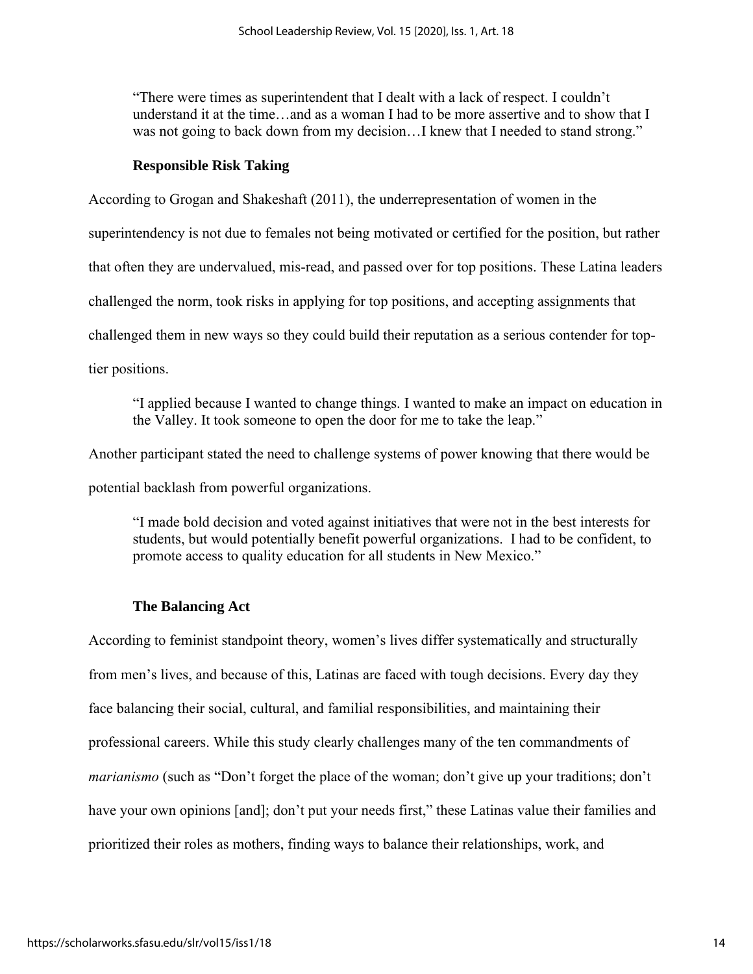"There were times as superintendent that I dealt with a lack of respect. I couldn't understand it at the time…and as a woman I had to be more assertive and to show that I was not going to back down from my decision...I knew that I needed to stand strong."

# **Responsible Risk Taking**

According to Grogan and Shakeshaft (2011), the underrepresentation of women in the

superintendency is not due to females not being motivated or certified for the position, but rather

that often they are undervalued, mis-read, and passed over for top positions. These Latina leaders

challenged the norm, took risks in applying for top positions, and accepting assignments that

challenged them in new ways so they could build their reputation as a serious contender for top-

tier positions.

"I applied because I wanted to change things. I wanted to make an impact on education in the Valley. It took someone to open the door for me to take the leap."

Another participant stated the need to challenge systems of power knowing that there would be potential backlash from powerful organizations.

"I made bold decision and voted against initiatives that were not in the best interests for students, but would potentially benefit powerful organizations. I had to be confident, to promote access to quality education for all students in New Mexico."

# **The Balancing Act**

According to feminist standpoint theory, women's lives differ systematically and structurally from men's lives, and because of this, Latinas are faced with tough decisions. Every day they face balancing their social, cultural, and familial responsibilities, and maintaining their professional careers. While this study clearly challenges many of the ten commandments of *marianismo* (such as "Don't forget the place of the woman; don't give up your traditions; don't have your own opinions [and]; don't put your needs first," these Latinas value their families and prioritized their roles as mothers, finding ways to balance their relationships, work, and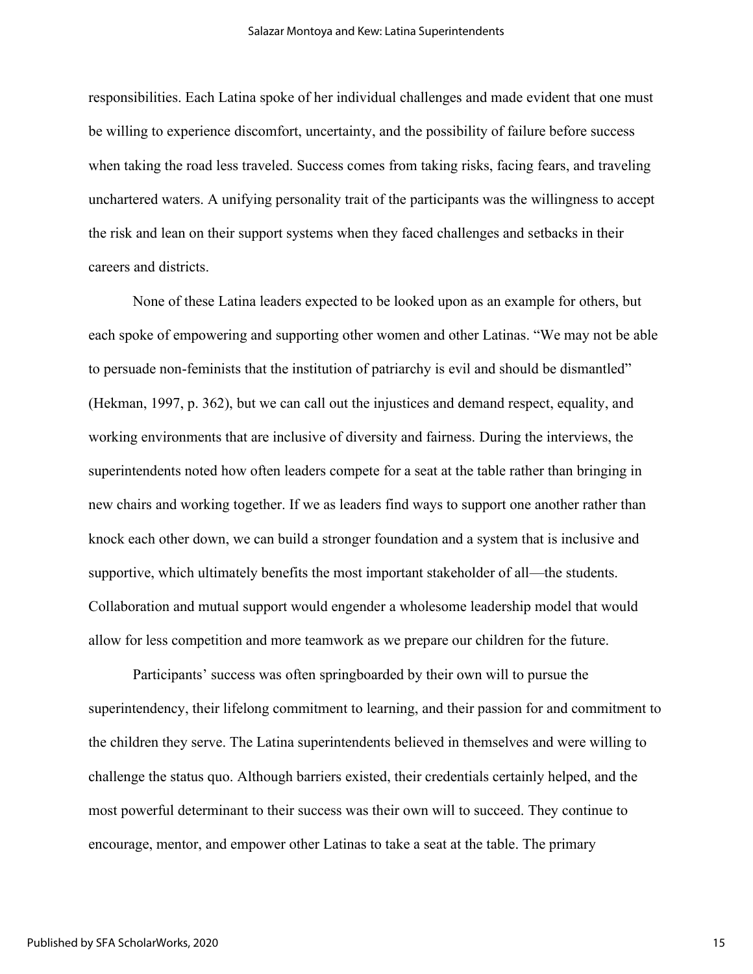responsibilities. Each Latina spoke of her individual challenges and made evident that one must be willing to experience discomfort, uncertainty, and the possibility of failure before success when taking the road less traveled. Success comes from taking risks, facing fears, and traveling unchartered waters. A unifying personality trait of the participants was the willingness to accept the risk and lean on their support systems when they faced challenges and setbacks in their careers and districts.

None of these Latina leaders expected to be looked upon as an example for others, but each spoke of empowering and supporting other women and other Latinas. "We may not be able to persuade non-feminists that the institution of patriarchy is evil and should be dismantled" (Hekman, 1997, p. 362), but we can call out the injustices and demand respect, equality, and working environments that are inclusive of diversity and fairness. During the interviews, the superintendents noted how often leaders compete for a seat at the table rather than bringing in new chairs and working together. If we as leaders find ways to support one another rather than knock each other down, we can build a stronger foundation and a system that is inclusive and supportive, which ultimately benefits the most important stakeholder of all—the students. Collaboration and mutual support would engender a wholesome leadership model that would allow for less competition and more teamwork as we prepare our children for the future.

Participants' success was often springboarded by their own will to pursue the superintendency, their lifelong commitment to learning, and their passion for and commitment to the children they serve. The Latina superintendents believed in themselves and were willing to challenge the status quo. Although barriers existed, their credentials certainly helped, and the most powerful determinant to their success was their own will to succeed. They continue to encourage, mentor, and empower other Latinas to take a seat at the table. The primary

15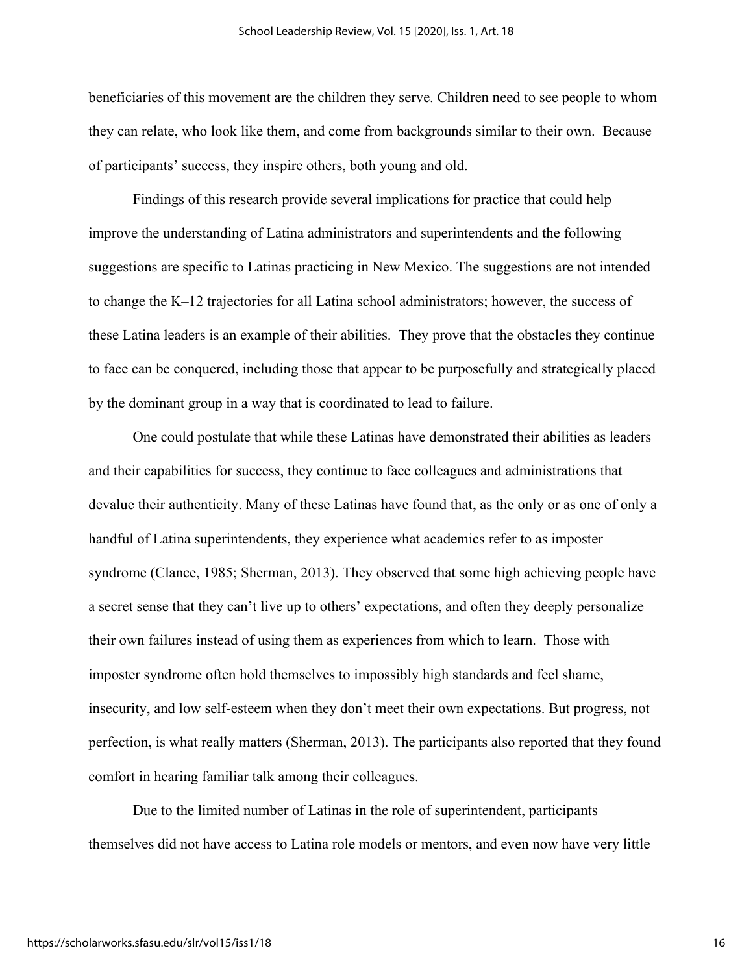beneficiaries of this movement are the children they serve. Children need to see people to whom they can relate, who look like them, and come from backgrounds similar to their own. Because of participants' success, they inspire others, both young and old.

Findings of this research provide several implications for practice that could help improve the understanding of Latina administrators and superintendents and the following suggestions are specific to Latinas practicing in New Mexico. The suggestions are not intended to change the K–12 trajectories for all Latina school administrators; however, the success of these Latina leaders is an example of their abilities. They prove that the obstacles they continue to face can be conquered, including those that appear to be purposefully and strategically placed by the dominant group in a way that is coordinated to lead to failure.

One could postulate that while these Latinas have demonstrated their abilities as leaders and their capabilities for success, they continue to face colleagues and administrations that devalue their authenticity. Many of these Latinas have found that, as the only or as one of only a handful of Latina superintendents, they experience what academics refer to as imposter syndrome (Clance, 1985; Sherman, 2013). They observed that some high achieving people have a secret sense that they can't live up to others' expectations, and often they deeply personalize their own failures instead of using them as experiences from which to learn. Those with imposter syndrome often hold themselves to impossibly high standards and feel shame, insecurity, and low self-esteem when they don't meet their own expectations. But progress, not perfection, is what really matters (Sherman, 2013). The participants also reported that they found comfort in hearing familiar talk among their colleagues.

Due to the limited number of Latinas in the role of superintendent, participants themselves did not have access to Latina role models or mentors, and even now have very little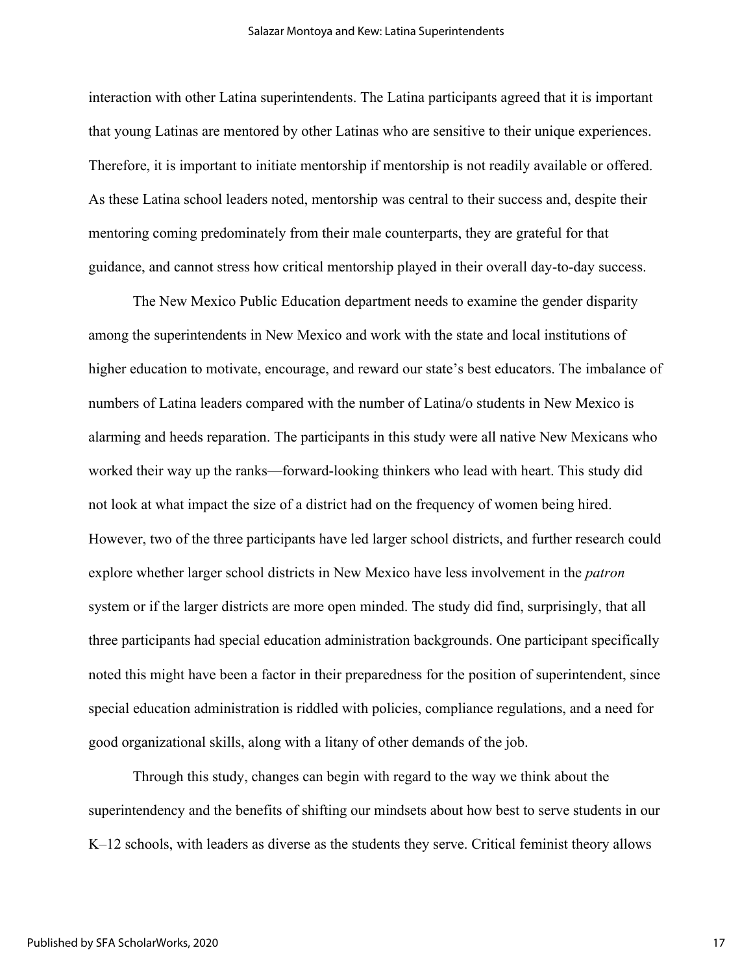interaction with other Latina superintendents. The Latina participants agreed that it is important that young Latinas are mentored by other Latinas who are sensitive to their unique experiences. Therefore, it is important to initiate mentorship if mentorship is not readily available or offered. As these Latina school leaders noted, mentorship was central to their success and, despite their mentoring coming predominately from their male counterparts, they are grateful for that guidance, and cannot stress how critical mentorship played in their overall day-to-day success.

The New Mexico Public Education department needs to examine the gender disparity among the superintendents in New Mexico and work with the state and local institutions of higher education to motivate, encourage, and reward our state's best educators. The imbalance of numbers of Latina leaders compared with the number of Latina/o students in New Mexico is alarming and heeds reparation. The participants in this study were all native New Mexicans who worked their way up the ranks—forward-looking thinkers who lead with heart. This study did not look at what impact the size of a district had on the frequency of women being hired. However, two of the three participants have led larger school districts, and further research could explore whether larger school districts in New Mexico have less involvement in the *patron* system or if the larger districts are more open minded. The study did find, surprisingly, that all three participants had special education administration backgrounds. One participant specifically noted this might have been a factor in their preparedness for the position of superintendent, since special education administration is riddled with policies, compliance regulations, and a need for good organizational skills, along with a litany of other demands of the job.

Through this study, changes can begin with regard to the way we think about the superintendency and the benefits of shifting our mindsets about how best to serve students in our K–12 schools, with leaders as diverse as the students they serve. Critical feminist theory allows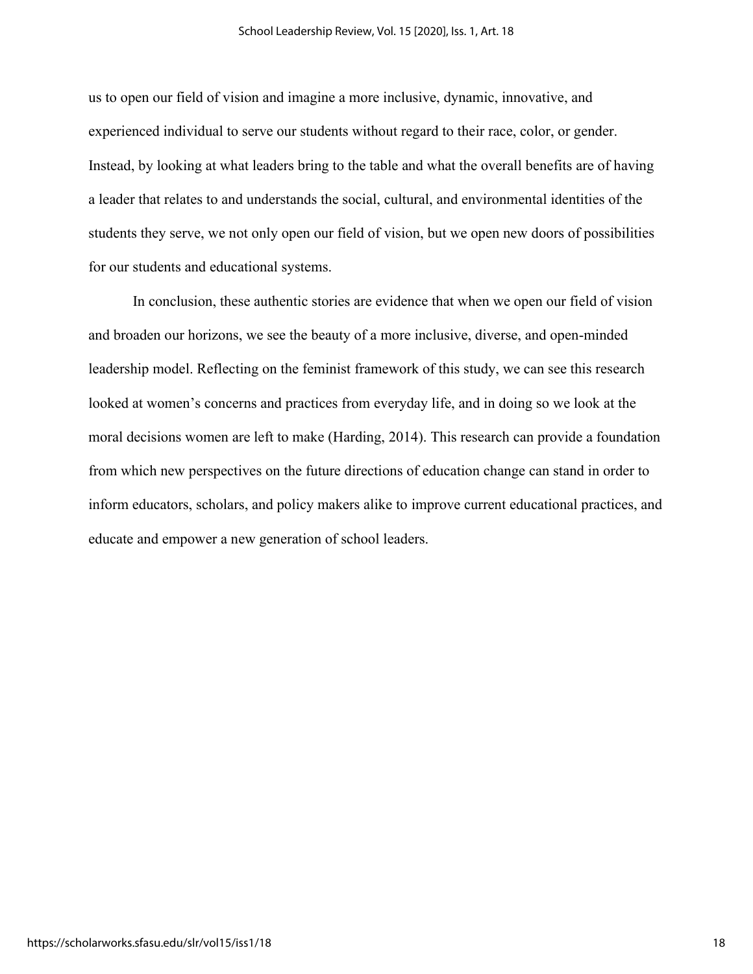us to open our field of vision and imagine a more inclusive, dynamic, innovative, and experienced individual to serve our students without regard to their race, color, or gender. Instead, by looking at what leaders bring to the table and what the overall benefits are of having a leader that relates to and understands the social, cultural, and environmental identities of the students they serve, we not only open our field of vision, but we open new doors of possibilities for our students and educational systems.

In conclusion, these authentic stories are evidence that when we open our field of vision and broaden our horizons, we see the beauty of a more inclusive, diverse, and open-minded leadership model. Reflecting on the feminist framework of this study, we can see this research looked at women's concerns and practices from everyday life, and in doing so we look at the moral decisions women are left to make (Harding, 2014). This research can provide a foundation from which new perspectives on the future directions of education change can stand in order to inform educators, scholars, and policy makers alike to improve current educational practices, and educate and empower a new generation of school leaders.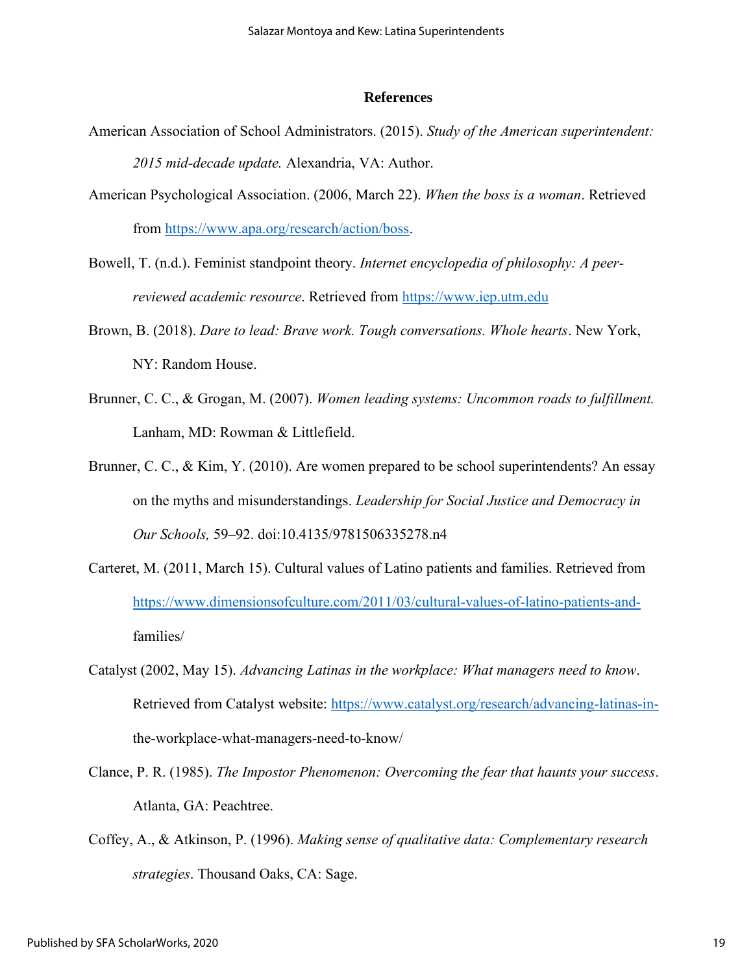#### **References**

- American Association of School Administrators. (2015). *Study of the American superintendent: 2015 mid-decade update.* Alexandria, VA: Author.
- American Psychological Association. (2006, March 22). *When the boss is a woman*. Retrieved from [https://www.apa.org/research/action/boss.](https://www.apa.org/research/action/boss)
- Bowell, T. (n.d.). Feminist standpoint theory. *Internet encyclopedia of philosophy: A peerreviewed academic resource*. Retrieved from [https://www.iep.utm.edu](https://www.iep.utm.edu/)
- Brown, B. (2018). *Dare to lead: Brave work. Tough conversations. Whole hearts*. New York, NY: Random House.
- Brunner, C. C., & Grogan, M. (2007). *Women leading systems: Uncommon roads to fulfillment.*  Lanham, MD: Rowman & Littlefield.
- Brunner, C. C., & Kim, Y. (2010). Are women prepared to be school superintendents? An essay on the myths and misunderstandings. *Leadership for Social Justice and Democracy in Our Schools,* 59–92. doi:10.4135/9781506335278.n4
- Carteret, M. (2011, March 15). Cultural values of Latino patients and families. Retrieved from [https://www.dimensionsofculture.com/2011/03/cultural-values-of-latino-patients-and](https://www.dimensionsofculture.com/2011/03/cultural-values-of-latino-patients-and-)families/
- Catalyst (2002, May 15). *Advancing Latinas in the workplace: What managers need to know*. Retrieved from Catalyst website: [https://www.catalyst.org/research/advancing-latinas-in](https://www.catalyst.org/research/advancing-latinas-in-)the-workplace-what-managers-need-to-know/
- Clance, P. R. (1985). *The Impostor Phenomenon: Overcoming the fear that haunts your success*. Atlanta, GA: Peachtree.
- Coffey, A., & Atkinson, P. (1996). *Making sense of qualitative data: Complementary research strategies*. Thousand Oaks, CA: Sage.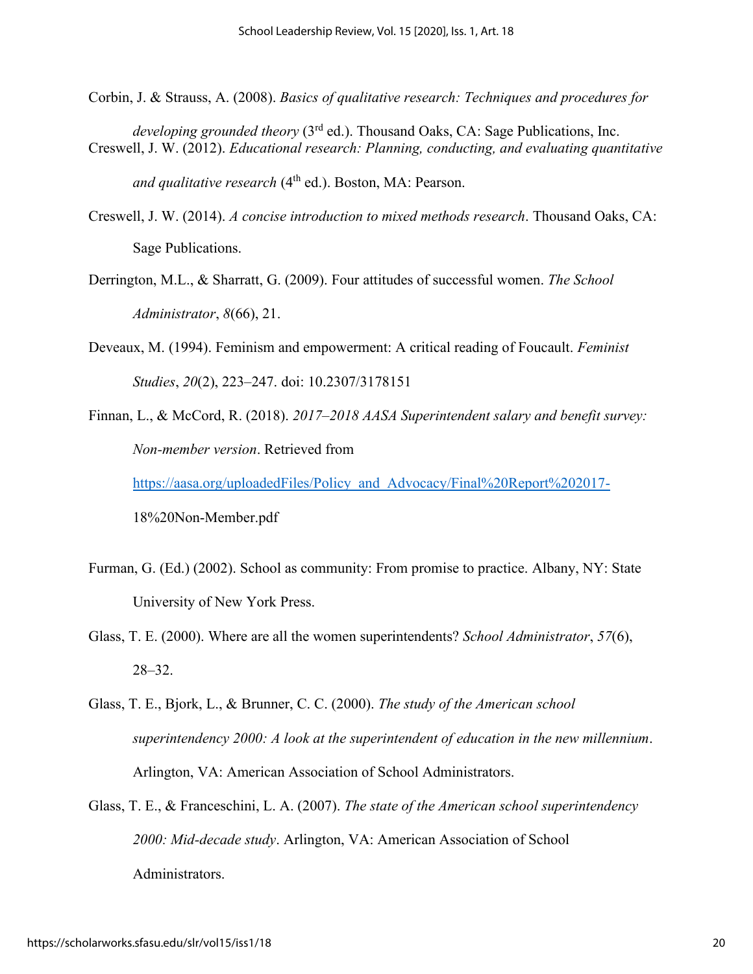- Corbin, J. & Strauss, A. (2008). *Basics of qualitative research: Techniques and procedures for*
- *developing grounded theory* (3rd ed.). Thousand Oaks, CA: Sage Publications, Inc. Creswell, J. W. (2012). *Educational research: Planning, conducting, and evaluating quantitative*

and qualitative research (4<sup>th</sup> ed.). Boston, MA: Pearson.

- Creswell, J. W. (2014). *A concise introduction to mixed methods research*. Thousand Oaks, CA: Sage Publications.
- Derrington, M.L., & Sharratt, G. (2009). Four attitudes of successful women. *The School Administrator*, *8*(66), 21.
- Deveaux, M. (1994). Feminism and empowerment: A critical reading of Foucault. *Feminist Studies*, *20*(2), 223–247. doi: 10.2307/3178151
- Finnan, L., & McCord, R. (2018). *2017–2018 AASA Superintendent salary and benefit survey: Non-member version*. Retrieved from

[https://aasa.org/uploadedFiles/Policy\\_and\\_Advocacy/Final%20Report%202017-](https://aasa.org/uploadedFiles/Policy_and_Advocacy/Final%20Report%202017-)

18%20Non-Member.pdf

- Furman, G. (Ed.) (2002). School as community: From promise to practice. Albany, NY: State University of New York Press.
- Glass, T. E. (2000). Where are all the women superintendents? *School Administrator*, *57*(6), 28–32.
- Glass, T. E., Bjork, L., & Brunner, C. C. (2000). *The study of the American school superintendency 2000: A look at the superintendent of education in the new millennium*. Arlington, VA: American Association of School Administrators.
- Glass, T. E., & Franceschini, L. A. (2007). *The state of the American school superintendency 2000: Mid-decade study*. Arlington, VA: American Association of School Administrators.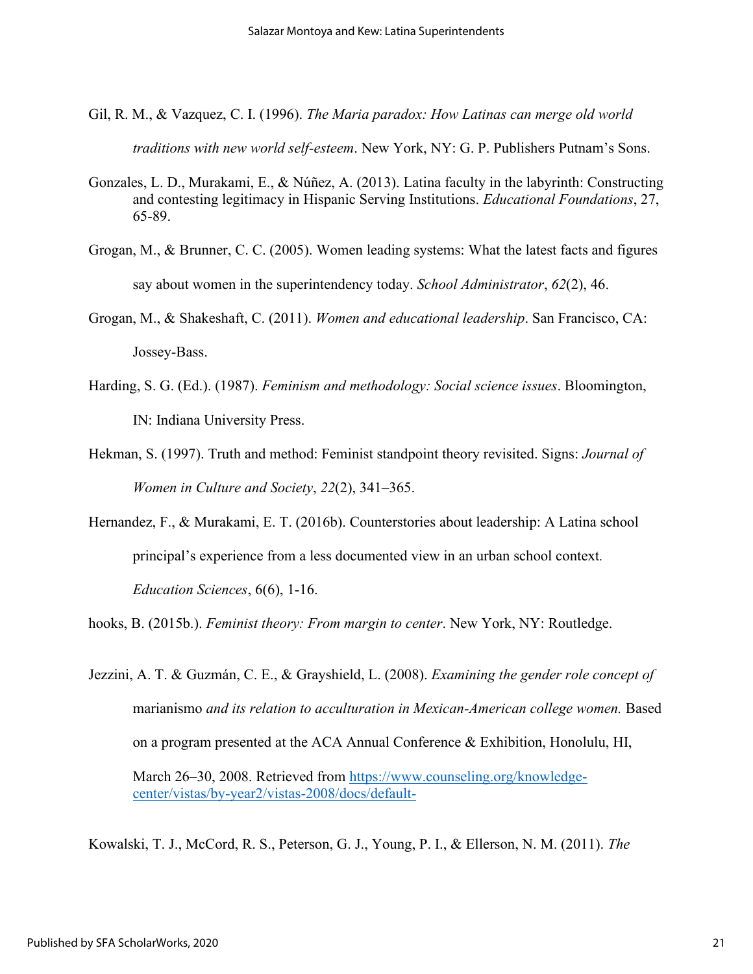- Gil, R. M., & Vazquez, C. I. (1996). *The Maria paradox: How Latinas can merge old world traditions with new world self-esteem*. New York, NY: G. P. Publishers Putnam's Sons.
- Gonzales, L. D., Murakami, E., & Núñez, A. (2013). Latina faculty in the labyrinth: Constructing and contesting legitimacy in Hispanic Serving Institutions. *Educational Foundations*, 27, 65-89.
- Grogan, M., & Brunner, C. C. (2005). Women leading systems: What the latest facts and figures say about women in the superintendency today. *School Administrator*, *62*(2), 46.
- Grogan, M., & Shakeshaft, C. (2011). *Women and educational leadership*. San Francisco, CA: Jossey-Bass.
- Harding, S. G. (Ed.). (1987). *Feminism and methodology: Social science issues*. Bloomington, IN: Indiana University Press.
- Hekman, S. (1997). Truth and method: Feminist standpoint theory revisited. Signs: *Journal of Women in Culture and Society*, *22*(2), 341–365.
- Hernandez, F., & Murakami, E. T. (2016b). Counterstories about leadership: A Latina school principal's experience from a less documented view in an urban school context*. Education Sciences*, 6(6), 1-16.

hooks, B. (2015b.). *Feminist theory: From margin to center*. New York, NY: Routledge.

Jezzini, A. T. & Guzmán, C. E., & Grayshield, L. (2008). *Examining the gender role concept of*  marianismo *and its relation to acculturation in Mexican-American college women.* Based on a program presented at the ACA Annual Conference & Exhibition, Honolulu, HI, March 26–30, 2008. Retrieved from [https://www.counseling.org/knowledge](https://www.counseling.org/knowledge-center/vistas/by-year2/vistas-2008/docs/default-)[center/vistas/by-year2/vistas-2008/docs/default-](https://www.counseling.org/knowledge-center/vistas/by-year2/vistas-2008/docs/default-)

Kowalski, T. J., McCord, R. S., Peterson, G. J., Young, P. I., & Ellerson, N. M. (2011). *The*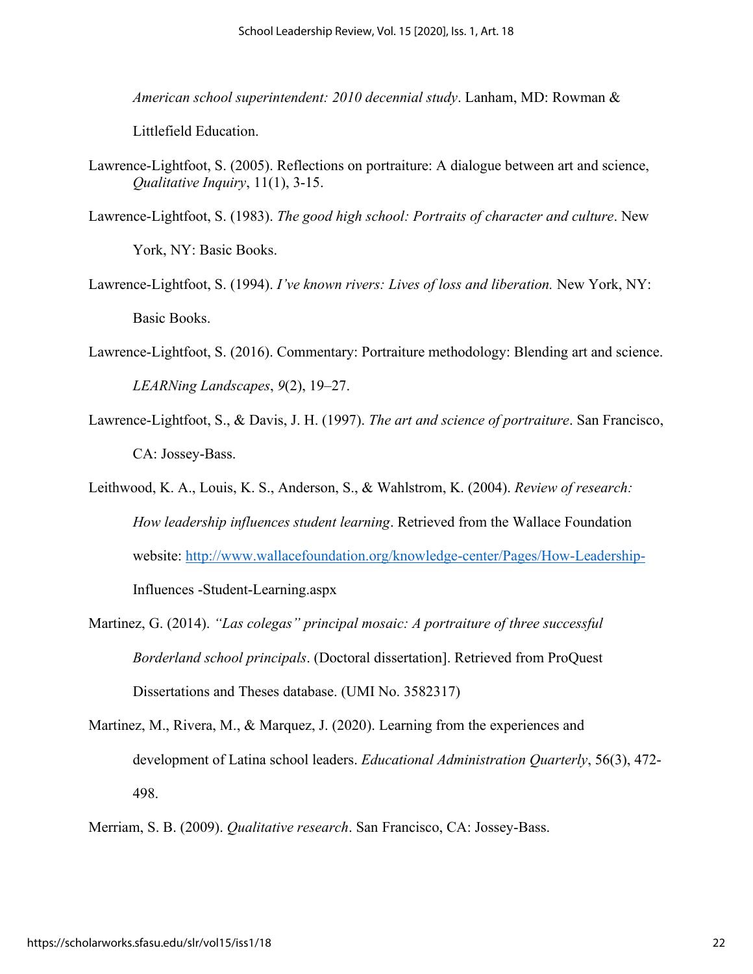*American school superintendent: 2010 decennial study*. Lanham, MD: Rowman &

Littlefield Education.

Lawrence-Lightfoot, S. (2005). Reflections on portraiture: A dialogue between art and science, *Qualitative Inquiry*, 11(1), 3-15.

Lawrence-Lightfoot, S. (1983). *The good high school: Portraits of character and culture*. New

York, NY: Basic Books.

- Lawrence-Lightfoot, S. (1994). *I've known rivers: Lives of loss and liberation.* New York, NY: Basic Books.
- Lawrence-Lightfoot, S. (2016). Commentary: Portraiture methodology: Blending art and science. *LEARNing Landscapes*, *9*(2), 19–27.
- Lawrence-Lightfoot, S., & Davis, J. H. (1997). *The art and science of portraiture*. San Francisco, CA: Jossey-Bass.
- Leithwood, K. A., Louis, K. S., Anderson, S., & Wahlstrom, K. (2004). *Review of research: How leadership influences student learning*. Retrieved from the Wallace Foundation website:<http://www.wallacefoundation.org/knowledge-center/Pages/How-Leadership->Influences -Student-Learning.aspx
- Martinez, G. (2014). *"Las colegas" principal mosaic: A portraiture of three successful Borderland school principals*. (Doctoral dissertation]. Retrieved from ProQuest Dissertations and Theses database. (UMI No. 3582317)
- Martinez, M., Rivera, M., & Marquez, J. (2020). Learning from the experiences and development of Latina school leaders. *Educational Administration Quarterly*, 56(3), 472- 498.

Merriam, S. B. (2009). *Qualitative research*. San Francisco, CA: Jossey-Bass.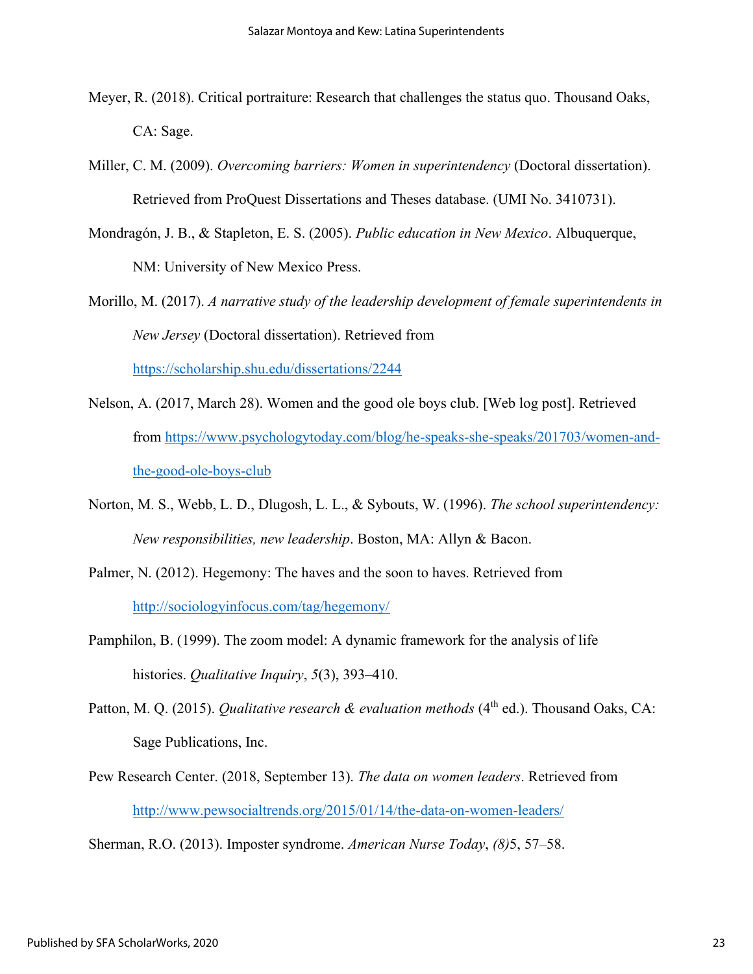- Meyer, R. (2018). Critical portraiture: Research that challenges the status quo. Thousand Oaks, CA: Sage.
- Miller, C. M. (2009). *Overcoming barriers: Women in superintendency* (Doctoral dissertation). Retrieved from ProQuest Dissertations and Theses database. (UMI No. 3410731).
- Mondragón, J. B., & Stapleton, E. S. (2005). *Public education in New Mexico*. Albuquerque, NM: University of New Mexico Press.
- Morillo, M. (2017). *A narrative study of the leadership development of female superintendents in New Jersey* (Doctoral dissertation). Retrieved from <https://scholarship.shu.edu/dissertations/2244>
- Nelson, A. (2017, March 28). Women and the good ole boys club. [Web log post]. Retrieved from [https://www.psychologytoday.com/blog/he-speaks-she-speaks/201703/women-and](https://www.psychologytoday.com/blog/he-speaks-she-speaks/201703/women-and-the-good-ole-boys-club)[the-good-ole-boys-club](https://www.psychologytoday.com/blog/he-speaks-she-speaks/201703/women-and-the-good-ole-boys-club)
- Norton, M. S., Webb, L. D., Dlugosh, L. L., & Sybouts, W. (1996). *The school superintendency: New responsibilities, new leadership*. Boston, MA: Allyn & Bacon.
- Palmer, N. (2012). Hegemony: The haves and the soon to haves. Retrieved from <http://sociologyinfocus.com/tag/hegemony/>
- Pamphilon, B. (1999). The zoom model: A dynamic framework for the analysis of life histories. *Qualitative Inquiry*, *5*(3), 393–410.
- Patton, M. Q. (2015). *Qualitative research & evaluation methods* (4<sup>th</sup> ed.). Thousand Oaks. CA: Sage Publications, Inc.
- Pew Research Center. (2018, September 13). *The data on women leaders*. Retrieved from <http://www.pewsocialtrends.org/2015/01/14/the-data-on-women-leaders/>

Sherman, R.O. (2013). Imposter syndrome. *American Nurse Today*, *(8)*5, 57–58.